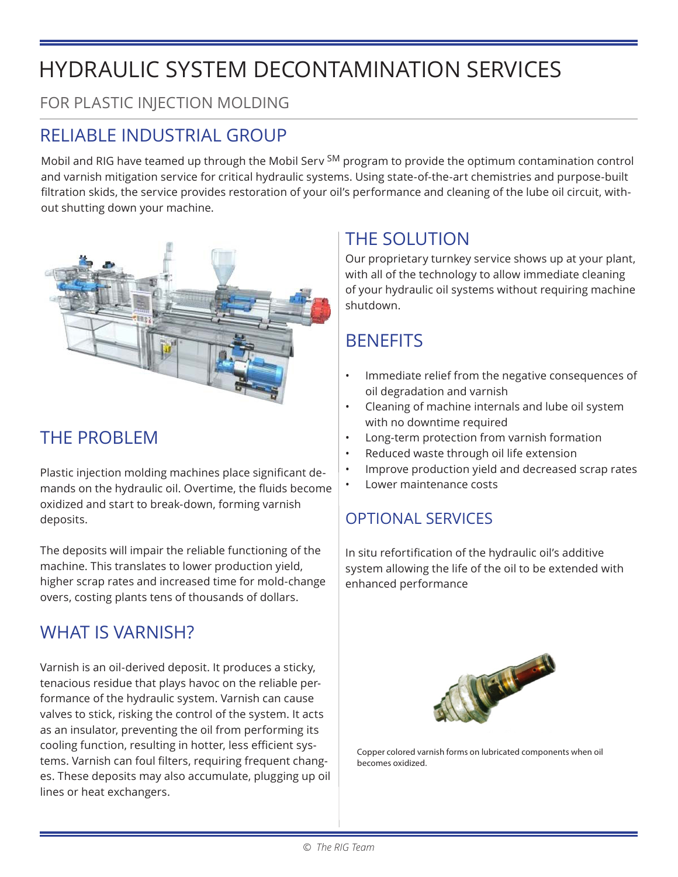## HYDRAULIC SYSTEM DECONTAMINATION SERVICES

FOR PLASTIC INJECTION MOLDING

#### RELIABLE INDUSTRIAL GROUP

Mobil and RIG have teamed up through the Mobil Serv <sup>SM</sup> program to provide the optimum contamination control and varnish mitigation service for critical hydraulic systems. Using state-of-the-art chemistries and purpose-built filtration skids, the service provides restoration of your oil's performance and cleaning of the lube oil circuit, without shutting down your machine.



#### THE PROBLEM

Plastic injection molding machines place significant demands on the hydraulic oil. Overtime, the fluids become oxidized and start to break-down, forming varnish deposits.

The deposits will impair the reliable functioning of the machine. This translates to lower production yield, higher scrap rates and increased time for mold-change overs, costing plants tens of thousands of dollars.

#### WHAT IS VARNISH?

Varnish is an oil-derived deposit. It produces a sticky, tenacious residue that plays havoc on the reliable performance of the hydraulic system. Varnish can cause valves to stick, risking the control of the system. It acts as an insulator, preventing the oil from performing its cooling function, resulting in hotter, less efficient systems. Varnish can foul filters, requiring frequent changes. These deposits may also accumulate, plugging up oil lines or heat exchangers.

#### THE SOLUTION

Our proprietary turnkey service shows up at your plant, with all of the technology to allow immediate cleaning of your hydraulic oil systems without requiring machine shutdown.

#### **BENEFITS**

- Immediate relief from the negative consequences of oil degradation and varnish
- Cleaning of machine internals and lube oil system with no downtime required
- Long-term protection from varnish formation
- Reduced waste through oil life extension
- Improve production yield and decreased scrap rates
- Lower maintenance costs

#### OPTIONAL SERVICES

In situ refortification of the hydraulic oil's additive system allowing the life of the oil to be extended with enhanced performance



Copper colored varnish forms on lubricated components when oil becomes oxidized.